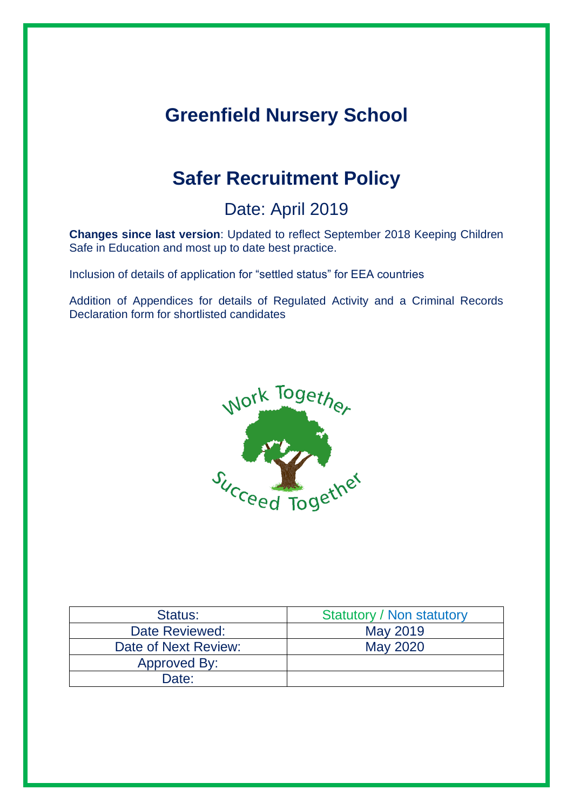# **Greenfield Nursery School**

# **Safer Recruitment Policy**

# Date: April 2019

**Changes since last version**: Updated to reflect September 2018 Keeping Children Safe in Education and most up to date best practice.

Inclusion of details of application for "settled status" for EEA countries

Addition of Appendices for details of Regulated Activity and a Criminal Records Declaration form for shortlisted candidates



| Status:              | <b>Statutory / Non statutory</b> |
|----------------------|----------------------------------|
| Date Reviewed:       | May 2019                         |
| Date of Next Review: | <b>May 2020</b>                  |
| Approved By:         |                                  |
| Date:                |                                  |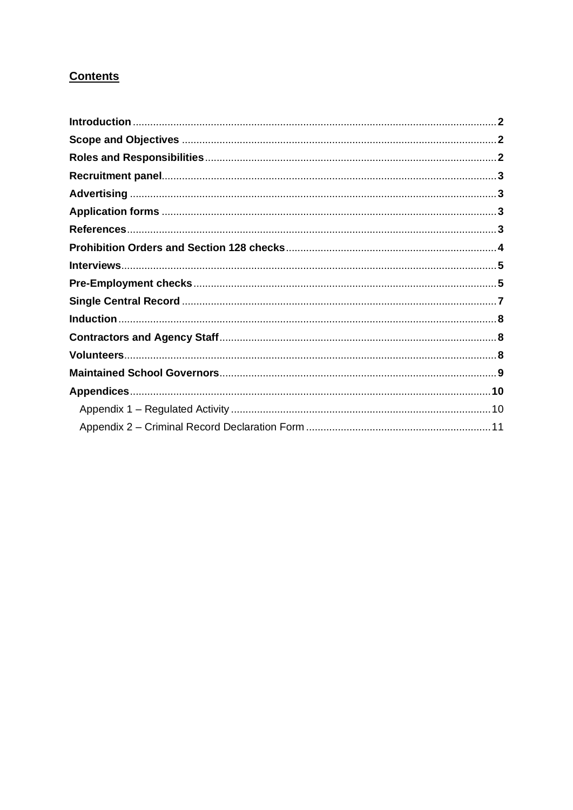# **Contents**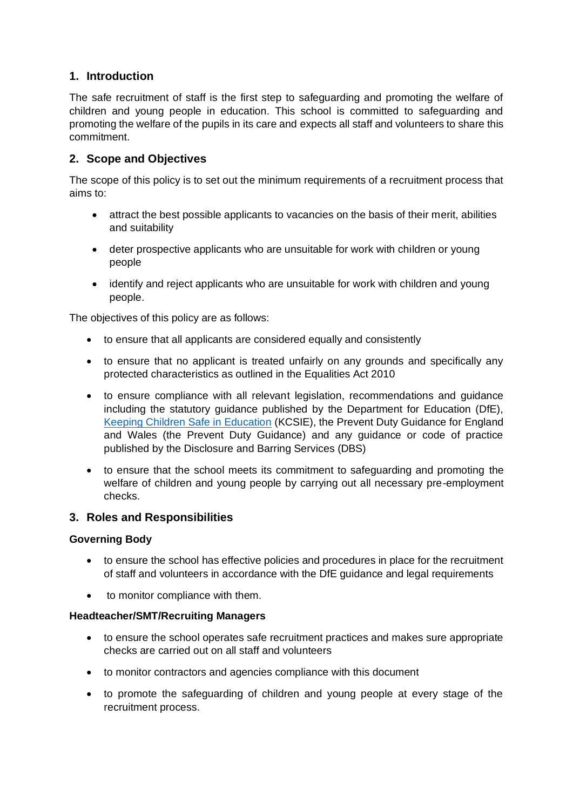# **1. Introduction**

The safe recruitment of staff is the first step to safeguarding and promoting the welfare of children and young people in education. This school is committed to safeguarding and promoting the welfare of the pupils in its care and expects all staff and volunteers to share this commitment.

# **2. Scope and Objectives**

The scope of this policy is to set out the minimum requirements of a recruitment process that aims to:

- attract the best possible applicants to vacancies on the basis of their merit, abilities and suitability
- deter prospective applicants who are unsuitable for work with children or young people
- identify and reject applicants who are unsuitable for work with children and young people.

The objectives of this policy are as follows:

- to ensure that all applicants are considered equally and consistently
- to ensure that no applicant is treated unfairly on any grounds and specifically any protected characteristics as outlined in the Equalities Act 2010
- to ensure compliance with all relevant legislation, recommendations and guidance including the statutory guidance published by the Department for Education (DfE), [Keeping Children Safe in Education](https://www.gov.uk/government/publications/keeping-children-safe-in-education--2) (KCSIE), the Prevent Duty Guidance for England and Wales (the Prevent Duty Guidance) and any guidance or code of practice published by the Disclosure and Barring Services (DBS)
- to ensure that the school meets its commitment to safeguarding and promoting the welfare of children and young people by carrying out all necessary pre-employment checks.

#### **3. Roles and Responsibilities**

#### **Governing Body**

- to ensure the school has effective policies and procedures in place for the recruitment of staff and volunteers in accordance with the DfE guidance and legal requirements
- to monitor compliance with them.

#### **Headteacher/SMT/Recruiting Managers**

- to ensure the school operates safe recruitment practices and makes sure appropriate checks are carried out on all staff and volunteers
- to monitor contractors and agencies compliance with this document
- to promote the safeguarding of children and young people at every stage of the recruitment process.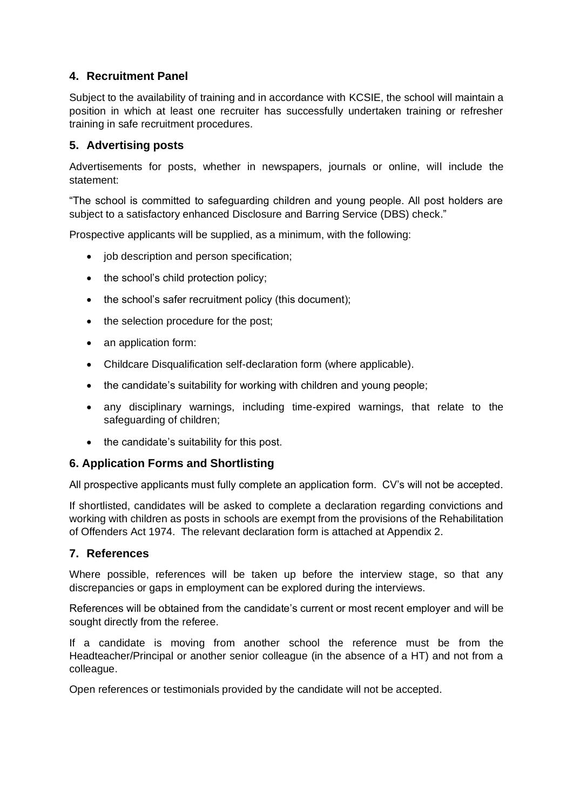# **4. Recruitment Panel**

Subject to the availability of training and in accordance with KCSIE, the school will maintain a position in which at least one recruiter has successfully undertaken training or refresher training in safe recruitment procedures.

### **5. Advertising posts**

Advertisements for posts, whether in newspapers, journals or online, will include the statement:

"The school is committed to safeguarding children and young people. All post holders are subject to a satisfactory enhanced Disclosure and Barring Service (DBS) check."

Prospective applicants will be supplied, as a minimum, with the following:

- job description and person specification;
- the school's child protection policy;
- the school's safer recruitment policy (this document);
- the selection procedure for the post;
- an application form:
- Childcare Disqualification self-declaration form (where applicable).
- the candidate's suitability for working with children and young people;
- any disciplinary warnings, including time-expired warnings, that relate to the safeguarding of children;
- the candidate's suitability for this post.

#### **6. Application Forms and Shortlisting**

All prospective applicants must fully complete an application form. CV's will not be accepted.

If shortlisted, candidates will be asked to complete a declaration regarding convictions and working with children as posts in schools are exempt from the provisions of the Rehabilitation of Offenders Act 1974. The relevant declaration form is attached at Appendix 2.

#### **7. References**

Where possible, references will be taken up before the interview stage, so that any discrepancies or gaps in employment can be explored during the interviews.

References will be obtained from the candidate's current or most recent employer and will be sought directly from the referee.

If a candidate is moving from another school the reference must be from the Headteacher/Principal or another senior colleague (in the absence of a HT) and not from a colleague.

Open references or testimonials provided by the candidate will not be accepted.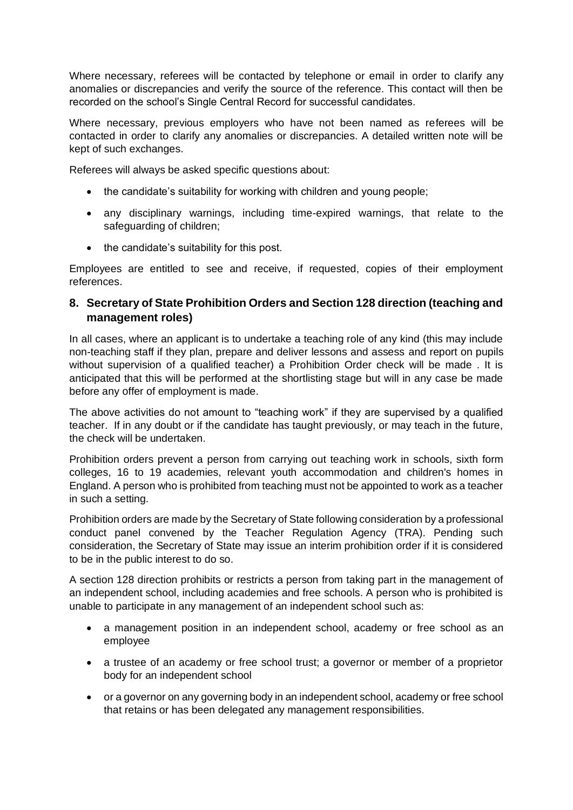Where necessary, referees will be contacted by telephone or email in order to clarify any anomalies or discrepancies and verify the source of the reference. This contact will then be recorded on the school's Single Central Record for successful candidates.

Where necessary, previous employers who have not been named as referees will be contacted in order to clarify any anomalies or discrepancies. A detailed written note will be kept of such exchanges.

Referees will always be asked specific questions about:

- the candidate's suitability for working with children and young people:
- any disciplinary warnings, including time-expired warnings, that relate to the safeguarding of children;
- the candidate's suitability for this post.

Employees are entitled to see and receive, if requested, copies of their employment references.

#### **8. Secretary of State Prohibition Orders and Section 128 direction (teaching and management roles)**

In all cases, where an applicant is to undertake a teaching role of any kind (this may include non-teaching staff if they plan, prepare and deliver lessons and assess and report on pupils without supervision of a qualified teacher) a Prohibition Order check will be made . It is anticipated that this will be performed at the shortlisting stage but will in any case be made before any offer of employment is made.

The above activities do not amount to "teaching work" if they are supervised by a qualified teacher. If in any doubt or if the candidate has taught previously, or may teach in the future, the check will be undertaken.

Prohibition orders prevent a person from carrying out teaching work in schools, sixth form colleges, 16 to 19 academies, relevant youth accommodation and children's homes in England. A person who is prohibited from teaching must not be appointed to work as a teacher in such a setting.

Prohibition orders are made by the Secretary of State following consideration by a professional conduct panel convened by the Teacher Regulation Agency (TRA). Pending such consideration, the Secretary of State may issue an interim prohibition order if it is considered to be in the public interest to do so.

A section 128 direction prohibits or restricts a person from taking part in the management of an independent school, including academies and free schools. A person who is prohibited is unable to participate in any management of an independent school such as:

- a management position in an independent school, academy or free school as an employee
- a trustee of an academy or free school trust; a governor or member of a proprietor body for an independent school
- or a governor on any governing body in an independent school, academy or free school that retains or has been delegated any management responsibilities.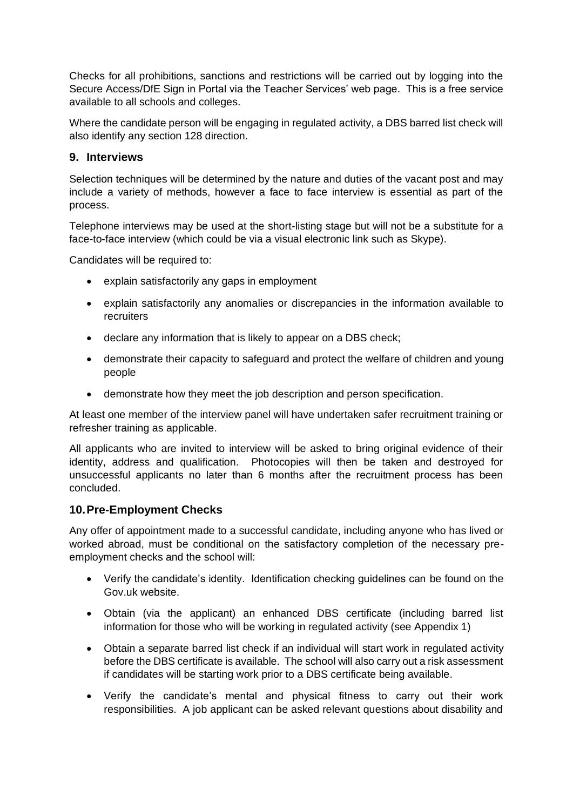Checks for all prohibitions, sanctions and restrictions will be carried out by logging into the Secure Access/DfE Sign in Portal via the Teacher Services' web page. This is a free service available to all schools and colleges.

Where the candidate person will be engaging in regulated activity, a DBS barred list check will also identify any section 128 direction.

#### **9. Interviews**

Selection techniques will be determined by the nature and duties of the vacant post and may include a variety of methods, however a face to face interview is essential as part of the process.

Telephone interviews may be used at the short-listing stage but will not be a substitute for a face-to-face interview (which could be via a visual electronic link such as Skype).

Candidates will be required to:

- explain satisfactorily any gaps in employment
- explain satisfactorily any anomalies or discrepancies in the information available to recruiters
- declare any information that is likely to appear on a DBS check;
- demonstrate their capacity to safeguard and protect the welfare of children and young people
- demonstrate how they meet the job description and person specification.

At least one member of the interview panel will have undertaken safer recruitment training or refresher training as applicable.

All applicants who are invited to interview will be asked to bring original evidence of their identity, address and qualification. Photocopies will then be taken and destroyed for unsuccessful applicants no later than 6 months after the recruitment process has been concluded.

#### **10.Pre-Employment Checks**

Any offer of appointment made to a successful candidate, including anyone who has lived or worked abroad, must be conditional on the satisfactory completion of the necessary preemployment checks and the school will:

- Verify the candidate's identity. Identification checking guidelines can be found on the Gov.uk website.
- Obtain (via the applicant) an enhanced DBS certificate (including barred list information for those who will be working in regulated activity (see Appendix 1)
- Obtain a separate barred list check if an individual will start work in regulated activity before the DBS certificate is available. The school will also carry out a risk assessment if candidates will be starting work prior to a DBS certificate being available.
- Verify the candidate's mental and physical fitness to carry out their work responsibilities. A job applicant can be asked relevant questions about disability and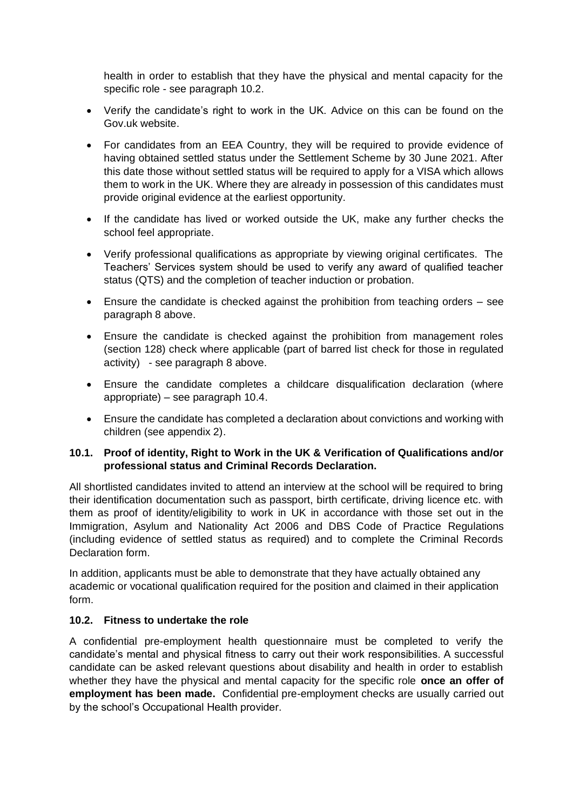health in order to establish that they have the physical and mental capacity for the specific role - see paragraph 10.2.

- Verify the candidate's right to work in the UK. Advice on this can be found on the Gov.uk website.
- For candidates from an EEA Country, they will be required to provide evidence of having obtained settled status under the Settlement Scheme by 30 June 2021. After this date those without settled status will be required to apply for a VISA which allows them to work in the UK. Where they are already in possession of this candidates must provide original evidence at the earliest opportunity.
- If the candidate has lived or worked outside the UK, make any further checks the school feel appropriate.
- Verify professional qualifications as appropriate by viewing original certificates. The Teachers' Services system should be used to verify any award of qualified teacher status (QTS) and the completion of teacher induction or probation.
- Ensure the candidate is checked against the prohibition from teaching orders see paragraph 8 above.
- Ensure the candidate is checked against the prohibition from management roles (section 128) check where applicable (part of barred list check for those in regulated activity) - see paragraph 8 above.
- Ensure the candidate completes a childcare disqualification declaration (where appropriate) – see paragraph 10.4.
- Ensure the candidate has completed a declaration about convictions and working with children (see appendix 2).

#### **10.1. Proof of identity, Right to Work in the UK & Verification of Qualifications and/or professional status and Criminal Records Declaration.**

All shortlisted candidates invited to attend an interview at the school will be required to bring their identification documentation such as passport, birth certificate, driving licence etc. with them as proof of identity/eligibility to work in UK in accordance with those set out in the Immigration, Asylum and Nationality Act 2006 and DBS Code of Practice Regulations (including evidence of settled status as required) and to complete the Criminal Records Declaration form.

In addition, applicants must be able to demonstrate that they have actually obtained any academic or vocational qualification required for the position and claimed in their application form.

#### **10.2. Fitness to undertake the role**

A confidential pre-employment health questionnaire must be completed to verify the candidate's mental and physical fitness to carry out their work responsibilities. A successful candidate can be asked relevant questions about disability and health in order to establish whether they have the physical and mental capacity for the specific role **once an offer of employment has been made.** Confidential pre-employment checks are usually carried out by the school's Occupational Health provider.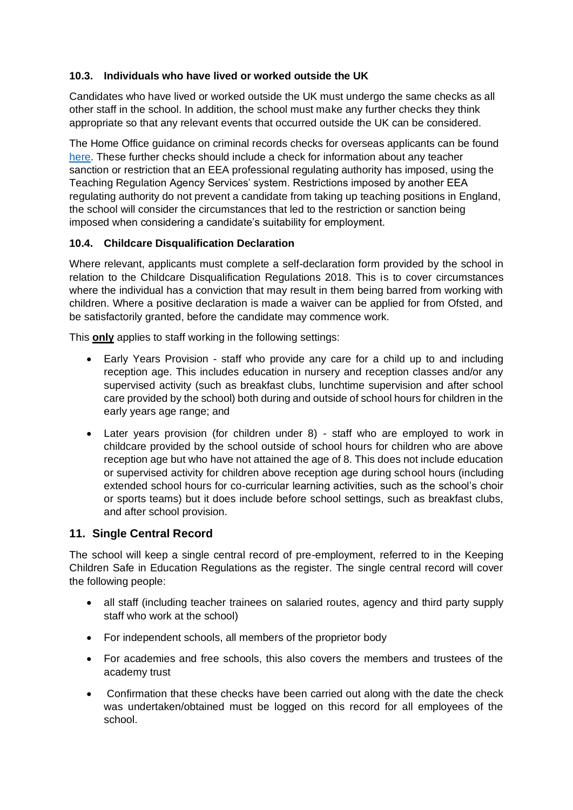#### **10.3. Individuals who have lived or worked outside the UK**

Candidates who have lived or worked outside the UK must undergo the same checks as all other staff in the school. In addition, the school must make any further checks they think appropriate so that any relevant events that occurred outside the UK can be considered.

The Home Office guidance on criminal records checks for overseas applicants can be found [here.](https://www.gov.uk/government/publications/criminal-records-checks-for-overseas-applicants) These further checks should include a check for information about any teacher sanction or restriction that an EEA professional regulating authority has imposed, using the Teaching Regulation Agency Services' system. Restrictions imposed by another EEA regulating authority do not prevent a candidate from taking up teaching positions in England, the school will consider the circumstances that led to the restriction or sanction being imposed when considering a candidate's suitability for employment.

### **10.4. Childcare Disqualification Declaration**

Where relevant, applicants must complete a self-declaration form provided by the school in relation to the Childcare Disqualification Regulations 2018. This is to cover circumstances where the individual has a conviction that may result in them being barred from working with children. Where a positive declaration is made a waiver can be applied for from Ofsted, and be satisfactorily granted, before the candidate may commence work.

This **only** applies to staff working in the following settings:

- Early Years Provision staff who provide any care for a child up to and including reception age. This includes education in nursery and reception classes and/or any supervised activity (such as breakfast clubs, lunchtime supervision and after school care provided by the school) both during and outside of school hours for children in the early years age range; and
- Later years provision (for children under 8) staff who are employed to work in childcare provided by the school outside of school hours for children who are above reception age but who have not attained the age of 8. This does not include education or supervised activity for children above reception age during school hours (including extended school hours for co-curricular learning activities, such as the school's choir or sports teams) but it does include before school settings, such as breakfast clubs, and after school provision.

# **11. Single Central Record**

The school will keep a single central record of pre-employment, referred to in the Keeping Children Safe in Education Regulations as the register. The single central record will cover the following people:

- all staff (including teacher trainees on salaried routes, agency and third party supply staff who work at the school)
- For independent schools, all members of the proprietor body
- For academies and free schools, this also covers the members and trustees of the academy trust
- Confirmation that these checks have been carried out along with the date the check was undertaken/obtained must be logged on this record for all employees of the school.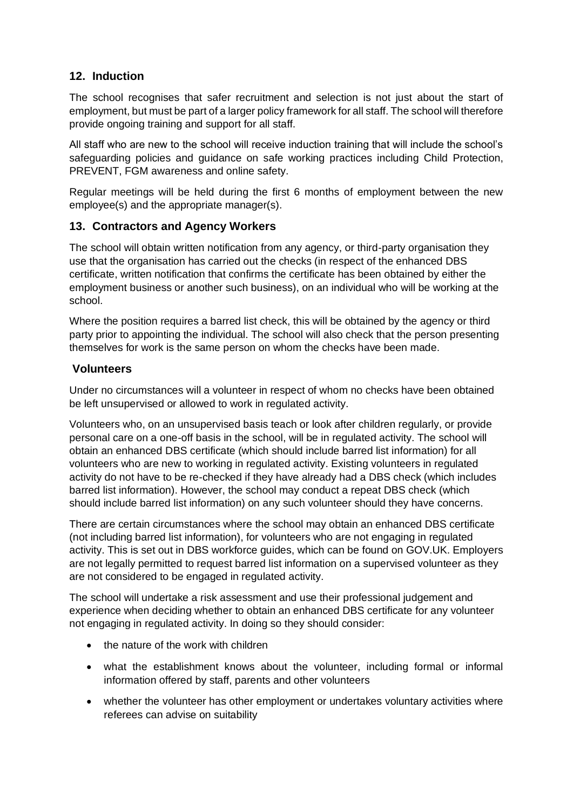### **12. Induction**

The school recognises that safer recruitment and selection is not just about the start of employment, but must be part of a larger policy framework for all staff. The school will therefore provide ongoing training and support for all staff.

All staff who are new to the school will receive induction training that will include the school's safeguarding policies and guidance on safe working practices including Child Protection, PREVENT, FGM awareness and online safety.

Regular meetings will be held during the first 6 months of employment between the new employee(s) and the appropriate manager(s).

#### **13. Contractors and Agency Workers**

The school will obtain written notification from any agency, or third-party organisation they use that the organisation has carried out the checks (in respect of the enhanced DBS certificate, written notification that confirms the certificate has been obtained by either the employment business or another such business), on an individual who will be working at the school.

Where the position requires a barred list check, this will be obtained by the agency or third party prior to appointing the individual. The school will also check that the person presenting themselves for work is the same person on whom the checks have been made.

#### **Volunteers**

Under no circumstances will a volunteer in respect of whom no checks have been obtained be left unsupervised or allowed to work in regulated activity.

Volunteers who, on an unsupervised basis teach or look after children regularly, or provide personal care on a one-off basis in the school, will be in regulated activity. The school will obtain an enhanced DBS certificate (which should include barred list information) for all volunteers who are new to working in regulated activity. Existing volunteers in regulated activity do not have to be re-checked if they have already had a DBS check (which includes barred list information). However, the school may conduct a repeat DBS check (which should include barred list information) on any such volunteer should they have concerns.

There are certain circumstances where the school may obtain an enhanced DBS certificate (not including barred list information), for volunteers who are not engaging in regulated activity. This is set out in DBS workforce guides, which can be found on GOV.UK. Employers are not legally permitted to request barred list information on a supervised volunteer as they are not considered to be engaged in regulated activity.

The school will undertake a risk assessment and use their professional judgement and experience when deciding whether to obtain an enhanced DBS certificate for any volunteer not engaging in regulated activity. In doing so they should consider:

- the nature of the work with children
- what the establishment knows about the volunteer, including formal or informal information offered by staff, parents and other volunteers
- whether the volunteer has other employment or undertakes voluntary activities where referees can advise on suitability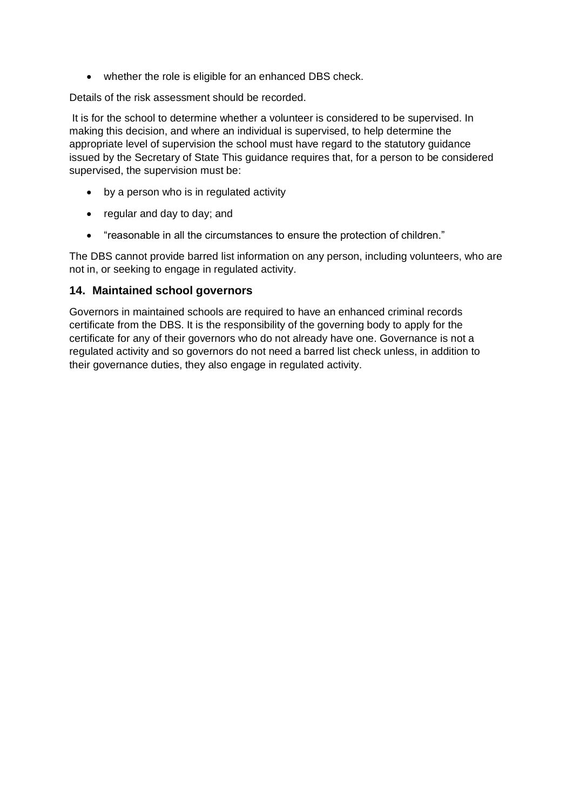• whether the role is eligible for an enhanced DBS check.

Details of the risk assessment should be recorded.

It is for the school to determine whether a volunteer is considered to be supervised. In making this decision, and where an individual is supervised, to help determine the appropriate level of supervision the school must have regard to the statutory guidance issued by the Secretary of State This guidance requires that, for a person to be considered supervised, the supervision must be:

- by a person who is in regulated activity
- regular and day to day; and
- "reasonable in all the circumstances to ensure the protection of children."

The DBS cannot provide barred list information on any person, including volunteers, who are not in, or seeking to engage in regulated activity.

#### **14. Maintained school governors**

Governors in maintained schools are required to have an enhanced criminal records certificate from the DBS. It is the responsibility of the governing body to apply for the certificate for any of their governors who do not already have one. Governance is not a regulated activity and so governors do not need a barred list check unless, in addition to their governance duties, they also engage in regulated activity.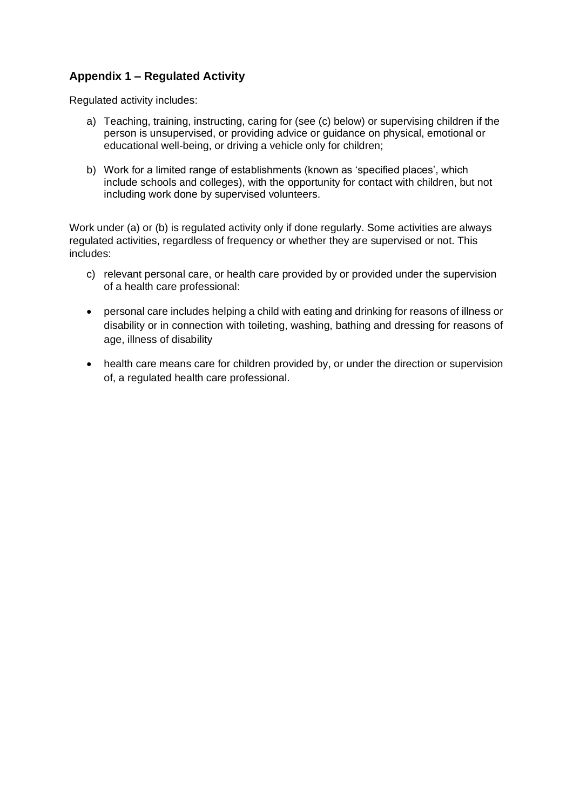# **Appendix 1 – Regulated Activity**

Regulated activity includes:

- a) Teaching, training, instructing, caring for (see (c) below) or supervising children if the person is unsupervised, or providing advice or guidance on physical, emotional or educational well-being, or driving a vehicle only for children;
- b) Work for a limited range of establishments (known as 'specified places', which include schools and colleges), with the opportunity for contact with children, but not including work done by supervised volunteers.

Work under (a) or (b) is regulated activity only if done regularly. Some activities are always regulated activities, regardless of frequency or whether they are supervised or not. This includes:

- c) relevant personal care, or health care provided by or provided under the supervision of a health care professional:
- personal care includes helping a child with eating and drinking for reasons of illness or disability or in connection with toileting, washing, bathing and dressing for reasons of age, illness of disability
- health care means care for children provided by, or under the direction or supervision of, a regulated health care professional.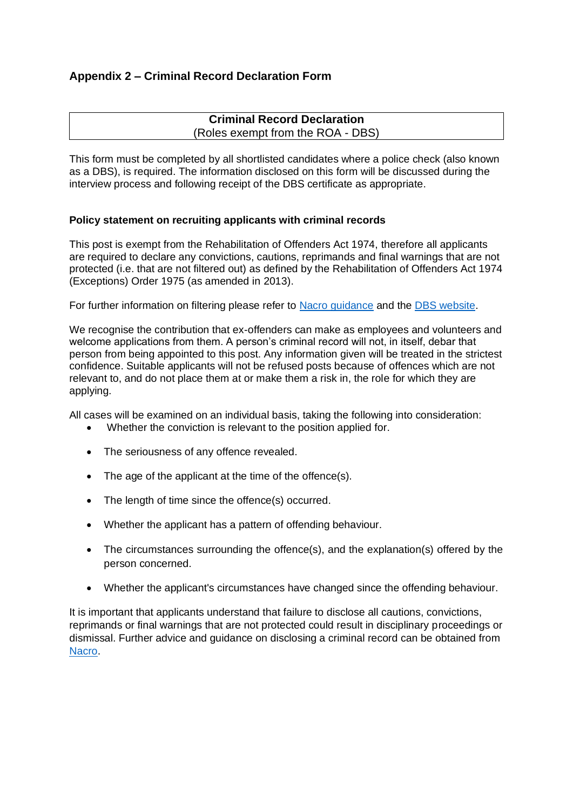# **Appendix 2 – Criminal Record Declaration Form**

#### **Criminal Record Declaration** (Roles exempt from the ROA - DBS)

This form must be completed by all shortlisted candidates where a police check (also known as a DBS), is required. The information disclosed on this form will be discussed during the interview process and following receipt of the DBS certificate as appropriate.

#### **Policy statement on recruiting applicants with criminal records**

This post is exempt from the Rehabilitation of Offenders Act 1974, therefore all applicants are required to declare any convictions, cautions, reprimands and final warnings that are not protected (i.e. that are not filtered out) as defined by the Rehabilitation of Offenders Act 1974 (Exceptions) Order 1975 (as amended in 2013).

For further information on filtering please refer to [Nacro guidance](https://www.nacro.org.uk/resettlement-advice-service/support-for-practitioners/the-law-on-disclosure/#spent) and the [DBS website.](https://www.gov.uk/government/publications/dbs-filtering-guidance/dbs-filtering-guide)

We recognise the contribution that ex-offenders can make as employees and volunteers and welcome applications from them. A person's criminal record will not, in itself, debar that person from being appointed to this post. Any information given will be treated in the strictest confidence. Suitable applicants will not be refused posts because of offences which are not relevant to, and do not place them at or make them a risk in, the role for which they are applying.

All cases will be examined on an individual basis, taking the following into consideration:

- Whether the conviction is relevant to the position applied for.
- The seriousness of any offence revealed.
- The age of the applicant at the time of the offence(s).
- The length of time since the offence(s) occurred.
- Whether the applicant has a pattern of offending behaviour.
- The circumstances surrounding the offence(s), and the explanation(s) offered by the person concerned.
- Whether the applicant's circumstances have changed since the offending behaviour.

It is important that applicants understand that failure to disclose all cautions, convictions, reprimands or final warnings that are not protected could result in disciplinary proceedings or dismissal. Further advice and guidance on disclosing a criminal record can be obtained from [Nacro.](http://www.nacro.org.uk/data/files/practical-guidance-on-dbs-filtering-1032.pdf)